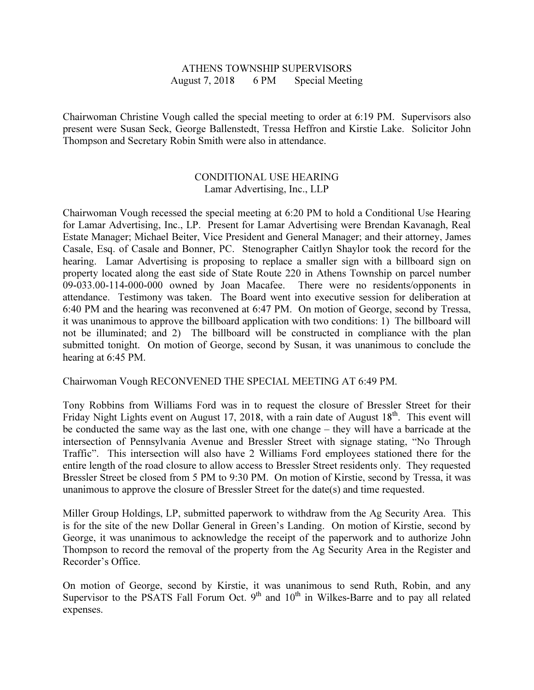## ATHENS TOWNSHIP SUPERVISORS August 7, 2018 6 PM Special Meeting

Chairwoman Christine Vough called the special meeting to order at 6:19 PM. Supervisors also present were Susan Seck, George Ballenstedt, Tressa Heffron and Kirstie Lake. Solicitor John Thompson and Secretary Robin Smith were also in attendance.

## CONDITIONAL USE HEARING Lamar Advertising, Inc., LLP

Chairwoman Vough recessed the special meeting at 6:20 PM to hold a Conditional Use Hearing for Lamar Advertising, Inc., LP. Present for Lamar Advertising were Brendan Kavanagh, Real Estate Manager; Michael Beiter, Vice President and General Manager; and their attorney, James Casale, Esq. of Casale and Bonner, PC. Stenographer Caitlyn Shaylor took the record for the hearing. Lamar Advertising is proposing to replace a smaller sign with a billboard sign on property located along the east side of State Route 220 in Athens Township on parcel number 09-033.00-114-000-000 owned by Joan Macafee. There were no residents/opponents in attendance. Testimony was taken. The Board went into executive session for deliberation at 6:40 PM and the hearing was reconvened at 6:47 PM. On motion of George, second by Tressa, it was unanimous to approve the billboard application with two conditions: 1) The billboard will not be illuminated; and 2) The billboard will be constructed in compliance with the plan submitted tonight. On motion of George, second by Susan, it was unanimous to conclude the hearing at 6:45 PM.

Chairwoman Vough RECONVENED THE SPECIAL MEETING AT 6:49 PM.

Tony Robbins from Williams Ford was in to request the closure of Bressler Street for their Friday Night Lights event on August 17, 2018, with a rain date of August  $18<sup>th</sup>$ . This event will be conducted the same way as the last one, with one change – they will have a barricade at the intersection of Pennsylvania Avenue and Bressler Street with signage stating, "No Through Traffic". This intersection will also have 2 Williams Ford employees stationed there for the entire length of the road closure to allow access to Bressler Street residents only. They requested Bressler Street be closed from 5 PM to 9:30 PM. On motion of Kirstie, second by Tressa, it was unanimous to approve the closure of Bressler Street for the date(s) and time requested.

Miller Group Holdings, LP, submitted paperwork to withdraw from the Ag Security Area. This is for the site of the new Dollar General in Green's Landing. On motion of Kirstie, second by George, it was unanimous to acknowledge the receipt of the paperwork and to authorize John Thompson to record the removal of the property from the Ag Security Area in the Register and Recorder's Office.

On motion of George, second by Kirstie, it was unanimous to send Ruth, Robin, and any Supervisor to the PSATS Fall Forum Oct.  $9<sup>th</sup>$  and  $10<sup>th</sup>$  in Wilkes-Barre and to pay all related expenses.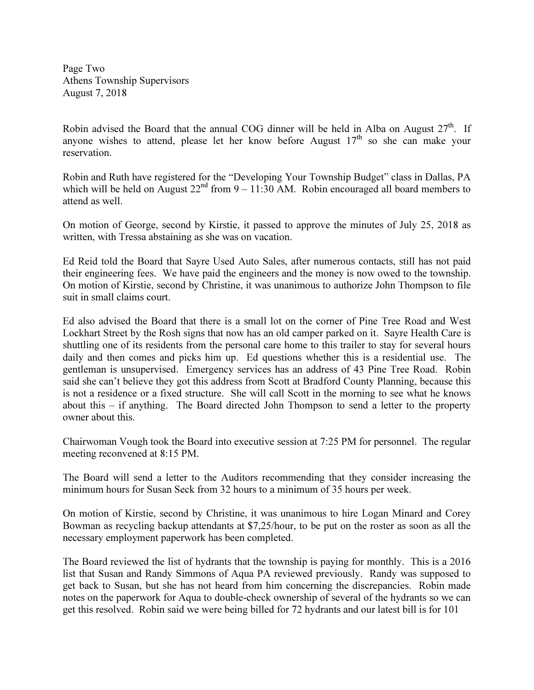Page Two Athens Township Supervisors August 7, 2018

Robin advised the Board that the annual COG dinner will be held in Alba on August  $27<sup>th</sup>$ . If anyone wishes to attend, please let her know before August  $17<sup>th</sup>$  so she can make your reservation.

Robin and Ruth have registered for the "Developing Your Township Budget" class in Dallas, PA which will be held on August  $22^{nd}$  from  $9 - 11:30$  AM. Robin encouraged all board members to attend as well.

On motion of George, second by Kirstie, it passed to approve the minutes of July 25, 2018 as written, with Tressa abstaining as she was on vacation.

Ed Reid told the Board that Sayre Used Auto Sales, after numerous contacts, still has not paid their engineering fees. We have paid the engineers and the money is now owed to the township. On motion of Kirstie, second by Christine, it was unanimous to authorize John Thompson to file suit in small claims court.

Ed also advised the Board that there is a small lot on the corner of Pine Tree Road and West Lockhart Street by the Rosh signs that now has an old camper parked on it. Sayre Health Care is shuttling one of its residents from the personal care home to this trailer to stay for several hours daily and then comes and picks him up. Ed questions whether this is a residential use. The gentleman is unsupervised. Emergency services has an address of 43 Pine Tree Road. Robin said she can't believe they got this address from Scott at Bradford County Planning, because this is not a residence or a fixed structure. She will call Scott in the morning to see what he knows about this – if anything. The Board directed John Thompson to send a letter to the property owner about this.

Chairwoman Vough took the Board into executive session at 7:25 PM for personnel. The regular meeting reconvened at 8:15 PM.

The Board will send a letter to the Auditors recommending that they consider increasing the minimum hours for Susan Seck from 32 hours to a minimum of 35 hours per week.

On motion of Kirstie, second by Christine, it was unanimous to hire Logan Minard and Corey Bowman as recycling backup attendants at \$7,25/hour, to be put on the roster as soon as all the necessary employment paperwork has been completed.

The Board reviewed the list of hydrants that the township is paying for monthly. This is a 2016 list that Susan and Randy Simmons of Aqua PA reviewed previously. Randy was supposed to get back to Susan, but she has not heard from him concerning the discrepancies. Robin made notes on the paperwork for Aqua to double-check ownership of several of the hydrants so we can get this resolved. Robin said we were being billed for 72 hydrants and our latest bill is for 101